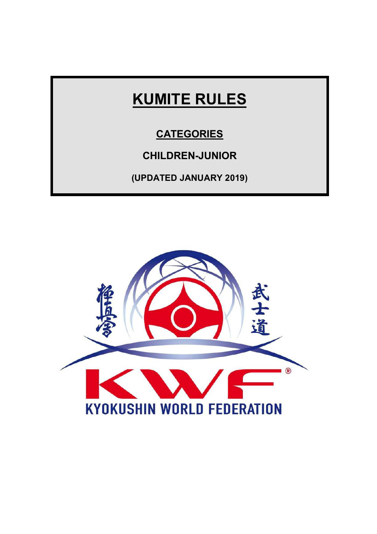# **KUMITE RULES**

## **CATEGORIES**

# **CHILDREN-JUNIOR**

**(UPDATED JANUARY 2019)** 

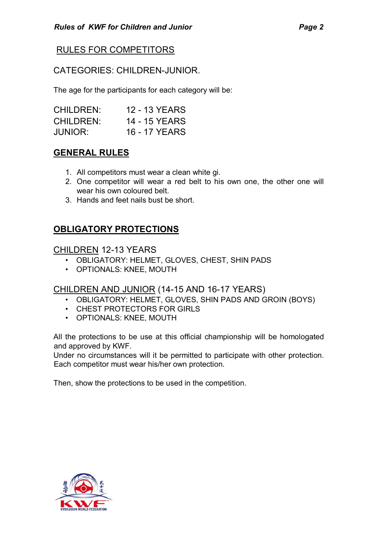## RULES FOR COMPETITORS

#### CATEGORIES: CHILDREN-JUNIOR.

The age for the participants for each category will be:

| <b>CHILDREN:</b> | <b>12 - 13 YEARS</b> |
|------------------|----------------------|
| <b>CHILDREN:</b> | 14 - 15 YEARS        |
| <b>JUNIOR:</b>   | <b>16 - 17 YEARS</b> |

## **GENERAL RULES**

- 1. All competitors must wear a clean white gi.
- 2. One competitor will wear a red belt to his own one, the other one will wear his own coloured belt.
- 3. Hands and feet nails bust be short.

## **OBLIGATORY PROTECTIONS**

#### CHILDREN 12-13 YEARS

- OBLIGATORY: HELMET, GLOVES, CHEST, SHIN PADS
- OPTIONALS: KNEE, MOUTH

#### CHILDREN AND JUNIOR (14-15 AND 16-17 YEARS)

- OBLIGATORY: HELMET, GLOVES, SHIN PADS AND GROIN (BOYS)
- CHEST PROTECTORS FOR GIRLS
- OPTIONALS: KNEE, MOUTH

All the protections to be use at this official championship will be homologated and approved by KWF.

Under no circumstances will it be permitted to participate with other protection. Each competitor must wear his/her own protection.

Then, show the protections to be used in the competition.

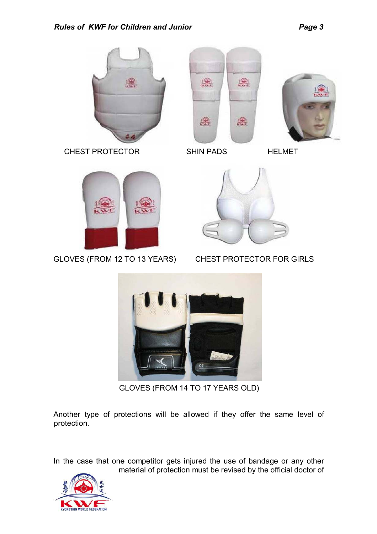





CHEST PROTECTOR SHIN PADS HELMET



GLOVES (FROM 12 TO 13 YEARS) CHEST PROTECTOR FOR GIRLS





GLOVES (FROM 14 TO 17 YEARS OLD)

Another type of protections will be allowed if they offer the same level of protection.

In the case that one competitor gets injured the use of bandage or any other material of protection must be revised by the official doctor of

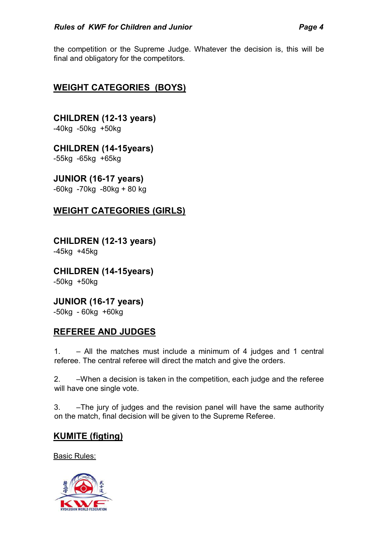the competition or the Supreme Judge. Whatever the decision is, this will be final and obligatory for the competitors.

## **WEIGHT CATEGORIES (BOYS)**

**CHILDREN (12-13 years)**  -40kg -50kg +50kg

**CHILDREN (14-15years)**  -55kg -65kg +65kg

**JUNIOR (16-17 years)**  -60kg -70kg -80kg + 80 kg

## **WEIGHT CATEGORIES (GIRLS)**

**CHILDREN (12-13 years)**  -45kg +45kg

**CHILDREN (14-15years)**  -50kg +50kg

**JUNIOR (16-17 years)**  -50kg - 60kg +60kg

#### **REFEREE AND JUDGES**

1. – All the matches must include a minimum of 4 judges and 1 central referee. The central referee will direct the match and give the orders.

2. –When a decision is taken in the competition, each judge and the referee will have one single vote.

3. –The jury of judges and the revision panel will have the same authority on the match, final decision will be given to the Supreme Referee.

## **KUMITE (figting)**

Basic Rules:

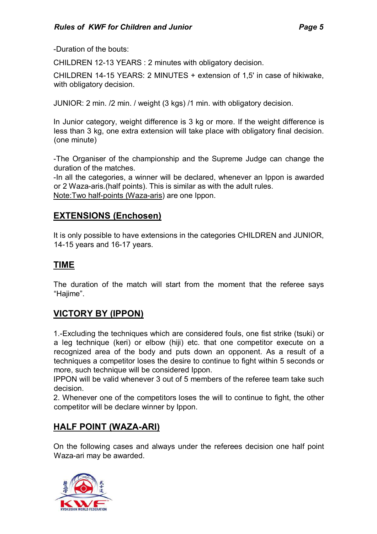-Duration of the bouts:

CHILDREN 12-13 YEARS : 2 minutes with obligatory decision.

CHILDREN 14-15 YEARS: 2 MINUTES + extension of 1,5' in case of hikiwake, with obligatory decision.

JUNIOR: 2 min. /2 min. / weight (3 kgs) /1 min. with obligatory decision.

In Junior category, weight difference is 3 kg or more. If the weight difference is less than 3 kg, one extra extension will take place with obligatory final decision. (one minute)

-The Organiser of the championship and the Supreme Judge can change the duration of the matches.

-In all the categories, a winner will be declared, whenever an Ippon is awarded or 2 Waza-aris.(half points). This is similar as with the adult rules. Note:Two half-points (Waza-aris) are one Ippon.

#### **EXTENSIONS (Enchosen)**

It is only possible to have extensions in the categories CHILDREN and JUNIOR, 14-15 years and 16-17 years.

#### **TIME**

The duration of the match will start from the moment that the referee says "Hajime".

## **VICTORY BY (IPPON)**

1.-Excluding the techniques which are considered fouls, one fist strike (tsuki) or a leg technique (keri) or elbow (hiji) etc. that one competitor execute on a recognized area of the body and puts down an opponent. As a result of a techniques a competitor loses the desire to continue to fight within 5 seconds or more, such technique will be considered Ippon.

IPPON will be valid whenever 3 out of 5 members of the referee team take such decision.

2. Whenever one of the competitors loses the will to continue to fight, the other competitor will be declare winner by Ippon.

#### **HALF POINT (WAZA-ARI)**

On the following cases and always under the referees decision one half point Waza-ari may be awarded.

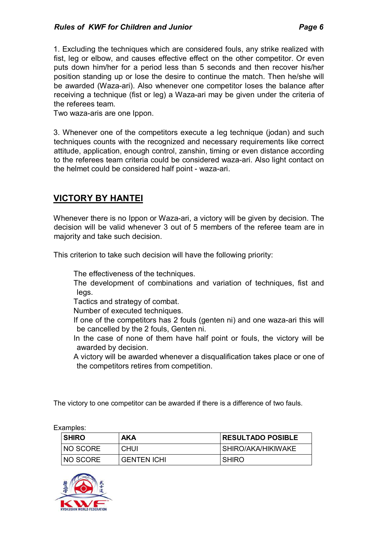1. Excluding the techniques which are considered fouls, any strike realized with fist, leg or elbow, and causes effective effect on the other competitor. Or even puts down him/her for a period less than 5 seconds and then recover his/her position standing up or lose the desire to continue the match. Then he/she will be awarded (Waza-ari). Also whenever one competitor loses the balance after receiving a technique (fist or leg) a Waza-ari may be given under the criteria of the referees team.

Two waza-aris are one Ippon.

3. Whenever one of the competitors execute a leg technique (jodan) and such techniques counts with the recognized and necessary requirements like correct attitude, application, enough control, zanshin, timing or even distance according to the referees team criteria could be considered waza-ari. Also light contact on the helmet could be considered half point - waza-ari.

## **VICTORY BY HANTEI**

Whenever there is no Ippon or Waza-ari, a victory will be given by decision. The decision will be valid whenever 3 out of 5 members of the referee team are in majority and take such decision.

This criterion to take such decision will have the following priority:

The effectiveness of the techniques.

 The development of combinations and variation of techniques, fist and legs.

Tactics and strategy of combat.

Number of executed techniques.

- If one of the competitors has 2 fouls (genten ni) and one waza-ari this will be cancelled by the 2 fouls, Genten ni.
- In the case of none of them have half point or fouls, the victory will be awarded by decision.
- A victory will be awarded whenever a disqualification takes place or one of the competitors retires from competition.

The victory to one competitor can be awarded if there is a difference of two fauls.

| Examples: |              |                    |                          |  |  |
|-----------|--------------|--------------------|--------------------------|--|--|
|           | <b>SHIRO</b> | AKA                | <b>RESULTADO POSIBLE</b> |  |  |
|           | NO SCORE     | <b>CHUI</b>        | SHIRO/AKA/HIKIWAKE       |  |  |
|           | NO SCORE     | <b>GENTEN ICHI</b> | <b>SHIRO</b>             |  |  |

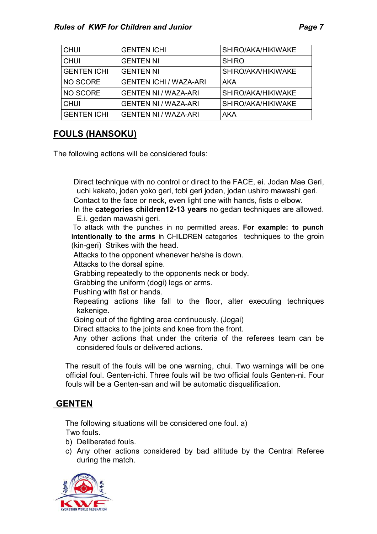| <b>CHUI</b>        | <b>GENTEN ICHI</b>            | SHIRO/AKA/HIKIWAKE |
|--------------------|-------------------------------|--------------------|
| <b>CHUI</b>        | <b>GENTEN NI</b>              | <b>SHIRO</b>       |
| <b>GENTEN ICHI</b> | <b>GENTEN NI</b>              | SHIRO/AKA/HIKIWAKE |
| <b>NO SCORE</b>    | <b>GENTEN ICHI / WAZA-ARI</b> | <b>AKA</b>         |
| NO SCORE           | <b>GENTEN NI / WAZA-ARI</b>   | SHIRO/AKA/HIKIWAKE |
| <b>CHUI</b>        | <b>GENTEN NI / WAZA-ARI</b>   | SHIRO/AKA/HIKIWAKE |
| <b>GENTEN ICHI</b> | <b>GENTEN NI / WAZA-ARI</b>   | <b>AKA</b>         |

## **FOULS (HANSOKU)**

The following actions will be considered fouls:

 Direct technique with no control or direct to the FACE, ei. Jodan Mae Geri, uchi kakato, jodan yoko geri, tobi geri jodan, jodan ushiro mawashi geri.

Contact to the face or neck, even light one with hands, fists o elbow.

 In the **categories children12-13 years** no gedan techniques are allowed. E.i. gedan mawashi geri.

 To attack with the punches in no permitted areas. **For example: to punch intentionally to the arms** in CHILDREN categories techniques to the groin (kin-geri) Strikes with the head.

Attacks to the opponent whenever he/she is down.

Attacks to the dorsal spine.

Grabbing repeatedly to the opponents neck or body.

Grabbing the uniform (dogi) legs or arms.

Pushing with fist or hands.

- Repeating actions like fall to the floor, alter executing techniques kakenige.
- Going out of the fighting area continuously. (Jogai)

Direct attacks to the joints and knee from the front.

 Any other actions that under the criteria of the referees team can be considered fouls or delivered actions.

The result of the fouls will be one warning, chui. Two warnings will be one official foul. Genten-ichi. Three fouls will be two official fouls Genten-ni. Four fouls will be a Genten-san and will be automatic disqualification.

## **GENTEN**

The following situations will be considered one foul. a) Two fouls.

b) Deliberated fouls.

c) Any other actions considered by bad altitude by the Central Referee during the match.

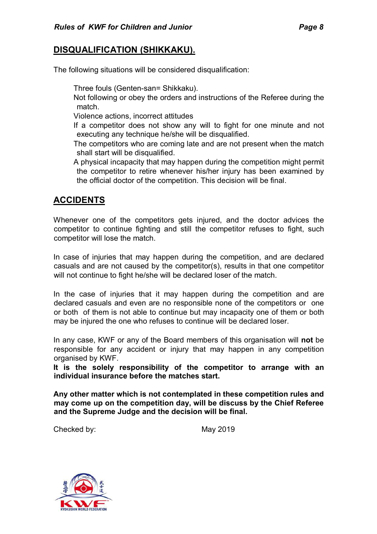#### **DISQUALIFICATION (SHIKKAKU).**

The following situations will be considered disqualification:

Three fouls (Genten-san= Shikkaku).

 Not following or obey the orders and instructions of the Referee during the match.

Violence actions, incorrect attitudes

 If a competitor does not show any will to fight for one minute and not executing any technique he/she will be disqualified.

 The competitors who are coming late and are not present when the match shall start will be disqualified.

 A physical incapacity that may happen during the competition might permit the competitor to retire whenever his/her injury has been examined by the official doctor of the competition. This decision will be final.

## **ACCIDENTS**

Whenever one of the competitors gets injured, and the doctor advices the competitor to continue fighting and still the competitor refuses to fight, such competitor will lose the match.

In case of injuries that may happen during the competition, and are declared casuals and are not caused by the competitor(s), results in that one competitor will not continue to fight he/she will be declared loser of the match.

In the case of injuries that it may happen during the competition and are declared casuals and even are no responsible none of the competitors or one or both of them is not able to continue but may incapacity one of them or both may be injured the one who refuses to continue will be declared loser.

In any case, KWF or any of the Board members of this organisation will **not** be responsible for any accident or injury that may happen in any competition organised by KWF.

**It is the solely responsibility of the competitor to arrange with an individual insurance before the matches start.** 

**Any other matter which is not contemplated in these competition rules and may come up on the competition day, will be discuss by the Chief Referee and the Supreme Judge and the decision will be final.** 

Checked by: May 2019